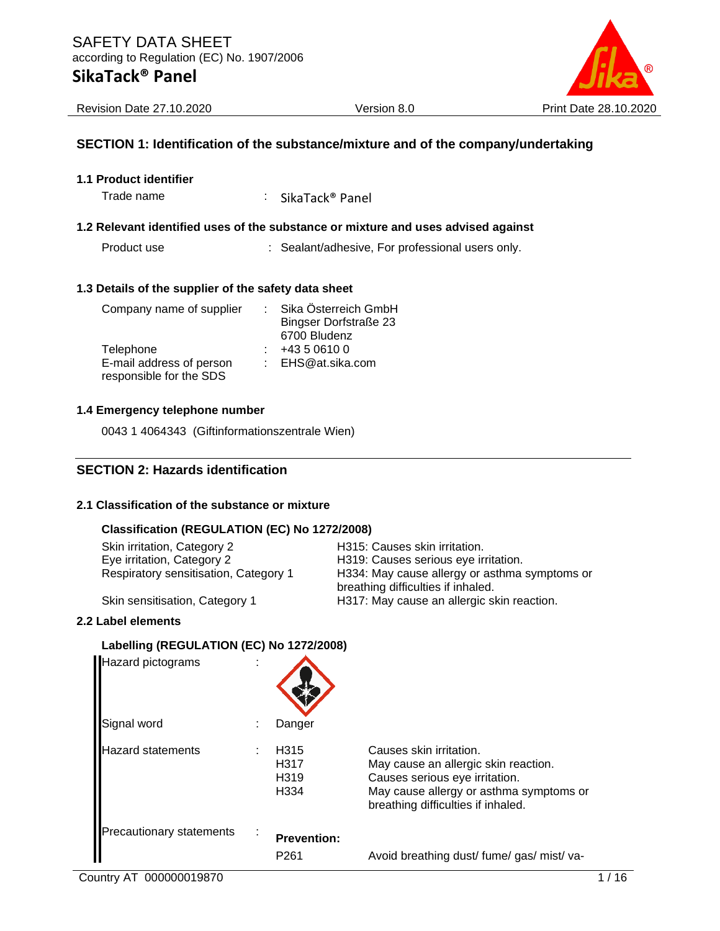

Revision Date 27.10.2020 Version 8.0 Print Date 28.10.2020

#### **SECTION 1: Identification of the substance/mixture and of the company/undertaking**

| <b>1.1 Product identifier</b> |  |
|-------------------------------|--|
|-------------------------------|--|

Trade name : SikaTack<sup>®</sup> Panel

#### **1.2 Relevant identified uses of the substance or mixture and uses advised against**

Product use : Sealant/adhesive, For professional users only.

#### **1.3 Details of the supplier of the safety data sheet**

| Company name of supplier | Sika Österreich GmbH         |
|--------------------------|------------------------------|
|                          | <b>Bingser Dorfstraße 23</b> |
|                          | 6700 Bludenz                 |
| Telephone                | +43 5 0610 0                 |
| E-mail address of person | : EHS@at.sika.com            |
| responsible for the SDS  |                              |

#### **1.4 Emergency telephone number**

0043 1 4064343 (Giftinformationszentrale Wien)

#### **SECTION 2: Hazards identification**

#### **2.1 Classification of the substance or mixture**

#### **Classification (REGULATION (EC) No 1272/2008)**

| Skin irritation, Category 2                                         | H315: Causes skin irritation.<br>H319: Causes serious eye irritation.            |
|---------------------------------------------------------------------|----------------------------------------------------------------------------------|
| Eye irritation, Category 2<br>Respiratory sensitisation, Category 1 | H334: May cause allergy or asthma symptoms or                                    |
| Skin sensitisation, Category 1                                      | breathing difficulties if inhaled.<br>H317: May cause an allergic skin reaction. |

#### **2.2 Label elements**

#### **Labelling (REGULATION (EC) No 1272/2008)**

| Hazard pictograms               |                                                                               |                                                                                                                                                                                    |
|---------------------------------|-------------------------------------------------------------------------------|------------------------------------------------------------------------------------------------------------------------------------------------------------------------------------|
| Signal word                     | Danger                                                                        |                                                                                                                                                                                    |
| <b>Hazard statements</b>        | H <sub>315</sub><br>H <sub>3</sub> 17<br>H <sub>319</sub><br>H <sub>334</sub> | Causes skin irritation.<br>May cause an allergic skin reaction.<br>Causes serious eye irritation.<br>May cause allergy or asthma symptoms or<br>breathing difficulties if inhaled. |
| <b>Precautionary statements</b> | <b>Prevention:</b><br>P <sub>261</sub>                                        | Avoid breathing dust/ fume/ gas/ mist/ va-                                                                                                                                         |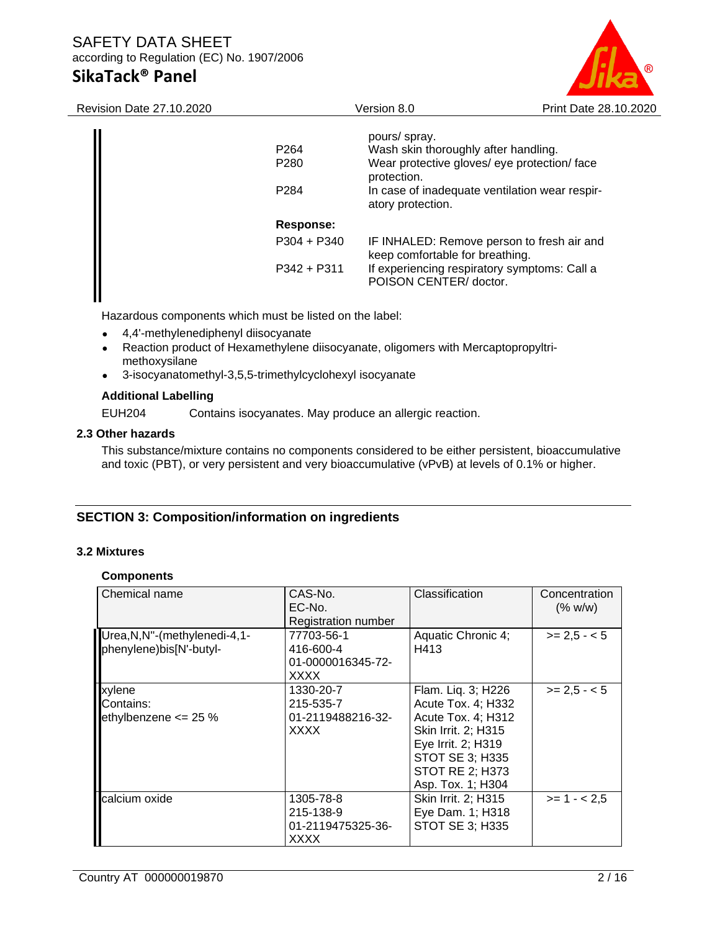# SAFETY DATA SHEET according to Regulation (EC) No. 1907/2006

# **SikaTack® Panel**



Revision Date 27.10.2020 Version 8.0 Print Date 28.10.2020

| P <sub>264</sub><br>P <sub>280</sub> | pours/ spray.<br>Wash skin thoroughly after handling.<br>Wear protective gloves/ eye protection/ face<br>protection. |
|--------------------------------------|----------------------------------------------------------------------------------------------------------------------|
| P <sub>2</sub> 84                    | In case of inadequate ventilation wear respir-<br>atory protection.                                                  |
| Response:                            |                                                                                                                      |
| $P304 + P340$                        | IF INHALED: Remove person to fresh air and<br>keep comfortable for breathing.                                        |
| $P342 + P311$                        | If experiencing respiratory symptoms: Call a<br>POISON CENTER/ doctor.                                               |

Hazardous components which must be listed on the label:

- 4,4'-methylenediphenyl diisocyanate
- Reaction product of Hexamethylene diisocyanate, oligomers with Mercaptopropyltrimethoxysilane
- 3-isocyanatomethyl-3,5,5-trimethylcyclohexyl isocyanate

#### **Additional Labelling**

EUH204 Contains isocyanates. May produce an allergic reaction.

#### **2.3 Other hazards**

This substance/mixture contains no components considered to be either persistent, bioaccumulative and toxic (PBT), or very persistent and very bioaccumulative (vPvB) at levels of 0.1% or higher.

#### **SECTION 3: Composition/information on ingredients**

#### **3.2 Mixtures**

#### **Components**

| Chemical name                                             | CAS-No.<br>EC-No.<br><b>Registration number</b>             | Classification                                                                                                                                                                       | Concentration<br>(% w/w) |
|-----------------------------------------------------------|-------------------------------------------------------------|--------------------------------------------------------------------------------------------------------------------------------------------------------------------------------------|--------------------------|
| Urea, N, N"-(methylenedi-4, 1-<br>phenylene)bis[N'-butyl- | 77703-56-1<br>416-600-4<br>01-0000016345-72-<br><b>XXXX</b> | Aquatic Chronic 4;<br>H413                                                                                                                                                           | $>= 2.5 - 5$             |
| xylene<br>Contains:<br>ethylbenzene $\leq$ 25 %           | 1330-20-7<br>215-535-7<br>01-2119488216-32-<br><b>XXXX</b>  | Flam. Liq. 3; H226<br>Acute Tox. 4; H332<br>Acute Tox. 4; H312<br>Skin Irrit. 2; H315<br>Eye Irrit. 2; H319<br><b>STOT SE 3; H335</b><br><b>STOT RE 2; H373</b><br>Asp. Tox. 1; H304 | $>= 2.5 - 5$             |
| calcium oxide                                             | 1305-78-8<br>215-138-9<br>01-2119475325-36-<br>XXXX         | Skin Irrit. 2; H315<br>Eye Dam. 1; H318<br>STOT SE 3; H335                                                                                                                           | $>= 1 - 2.5$             |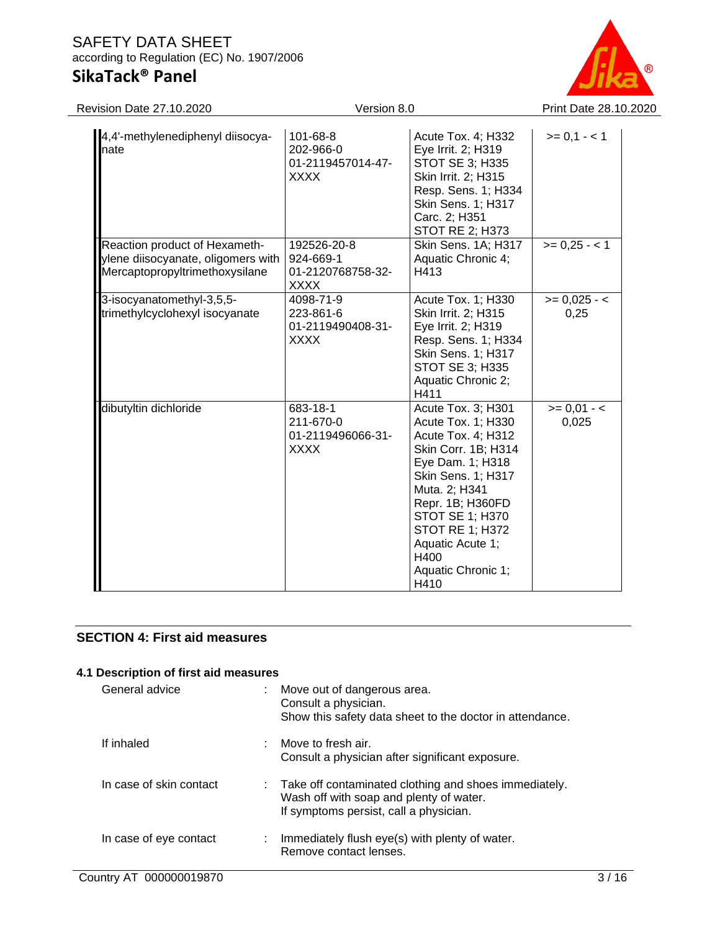

| 4,4'-methylenediphenyl diisocya-<br>nate                                                              | 101-68-8<br>202-966-0<br>01-2119457014-47-<br><b>XXXX</b>    | Acute Tox. 4; H332<br>Eye Irrit. 2; H319<br><b>STOT SE 3; H335</b><br>Skin Irrit. 2; H315<br>Resp. Sens. 1; H334<br><b>Skin Sens. 1; H317</b><br>Carc. 2; H351<br><b>STOT RE 2; H373</b>                                                                                           | $>= 0,1 - 1$           |
|-------------------------------------------------------------------------------------------------------|--------------------------------------------------------------|------------------------------------------------------------------------------------------------------------------------------------------------------------------------------------------------------------------------------------------------------------------------------------|------------------------|
| Reaction product of Hexameth-<br>ylene diisocyanate, oligomers with<br>Mercaptopropyltrimethoxysilane | 192526-20-8<br>924-669-1<br>01-2120768758-32-<br><b>XXXX</b> | Skin Sens. 1A; H317<br>Aquatic Chronic 4;<br>H413                                                                                                                                                                                                                                  | $>= 0.25 - 1$          |
| 3-isocyanatomethyl-3,5,5-<br>trimethylcyclohexyl isocyanate                                           | 4098-71-9<br>223-861-6<br>01-2119490408-31-<br><b>XXXX</b>   | Acute Tox. 1; H330<br>Skin Irrit. 2; H315<br>Eye Irrit. 2; H319<br>Resp. Sens. 1; H334<br><b>Skin Sens. 1; H317</b><br><b>STOT SE 3; H335</b><br>Aquatic Chronic 2;<br>H411                                                                                                        | $>= 0.025 - c$<br>0,25 |
| dibutyltin dichloride                                                                                 | 683-18-1<br>211-670-0<br>01-2119496066-31-<br><b>XXXX</b>    | Acute Tox. 3; H301<br>Acute Tox. 1; H330<br>Acute Tox. 4; H312<br>Skin Corr. 1B; H314<br>Eye Dam. 1; H318<br>Skin Sens. 1; H317<br>Muta. 2; H341<br>Repr. 1B; H360FD<br><b>STOT SE 1; H370</b><br><b>STOT RE 1; H372</b><br>Aquatic Acute 1;<br>H400<br>Aquatic Chronic 1;<br>H410 | $>= 0.01 - c$<br>0,025 |

#### **SECTION 4: First aid measures**

| 4.1 Description of first aid measures |                      |                                                                                                                                              |  |  |
|---------------------------------------|----------------------|----------------------------------------------------------------------------------------------------------------------------------------------|--|--|
| General advice                        | Consult a physician. | Move out of dangerous area.<br>Show this safety data sheet to the doctor in attendance.                                                      |  |  |
| If inhaled                            | Move to fresh air.   | Consult a physician after significant exposure.                                                                                              |  |  |
| In case of skin contact               |                      | : Take off contaminated clothing and shoes immediately.<br>Wash off with soap and plenty of water.<br>If symptoms persist, call a physician. |  |  |
| In case of eye contact                |                      | Immediately flush eye(s) with plenty of water.<br>Remove contact lenses.                                                                     |  |  |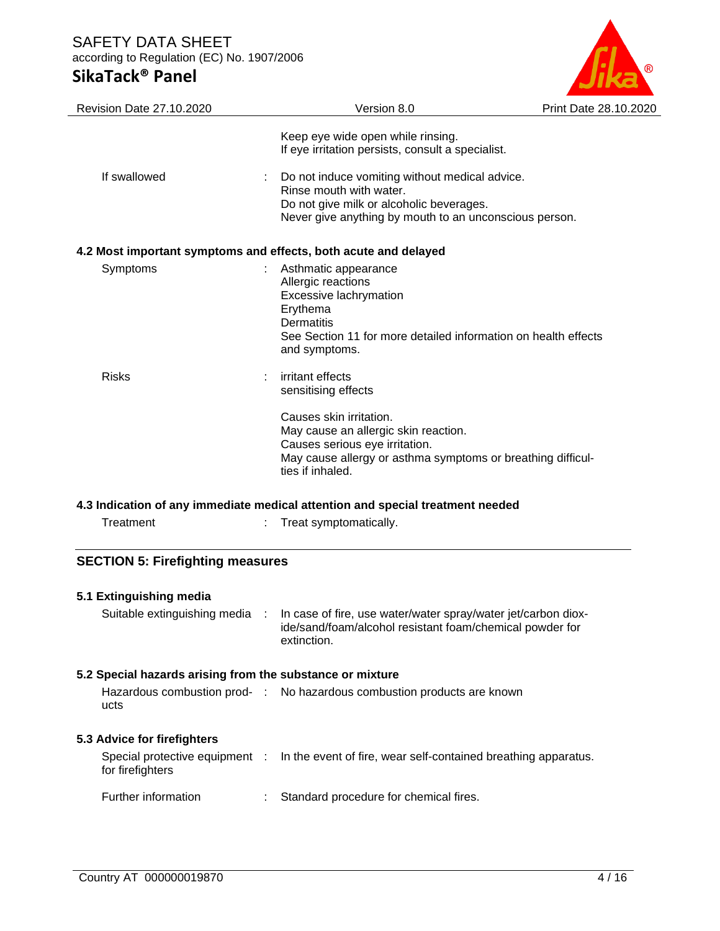### SAFETY DATA SHEET according to Regulation (EC) No. 1907/2006

## **SikaTack® Panel**



| Revision Date 27.10.2020 | Version 8.0                                                                                                                                                                                                                     | Print Date 28.10.2020 |
|--------------------------|---------------------------------------------------------------------------------------------------------------------------------------------------------------------------------------------------------------------------------|-----------------------|
|                          | Keep eye wide open while rinsing.<br>If eye irritation persists, consult a specialist.                                                                                                                                          |                       |
| If swallowed             | Do not induce vomiting without medical advice.<br>Rinse mouth with water.<br>Do not give milk or alcoholic beverages.<br>Never give anything by mouth to an unconscious person.                                                 |                       |
|                          | 4.2 Most important symptoms and effects, both acute and delayed                                                                                                                                                                 |                       |
| Symptoms                 | Asthmatic appearance<br>Allergic reactions<br>Excessive lachrymation<br>Erythema<br>Dermatitis<br>See Section 11 for more detailed information on health effects<br>and symptoms.                                               |                       |
| <b>Risks</b>             | irritant effects<br>sensitising effects<br>Causes skin irritation.<br>May cause an allergic skin reaction.<br>Causes serious eye irritation.<br>May cause allergy or asthma symptoms or breathing difficul-<br>ties if inhaled. |                       |
|                          | الماموم والمومسا ومسالح والمتحميم المسم وسمائه والمسامع والمستر والمستحدث والمساحي وممثلهما المسارات                                                                                                                            |                       |

#### **4.3 Indication of any immediate medical attention and special treatment needed**

| Treatment | Treat symptomatically. |
|-----------|------------------------|
|           |                        |

## **SECTION 5: Firefighting measures**

| 5.1 Extinguishing media<br>Suitable extinguishing media : |   | In case of fire, use water/water spray/water jet/carbon diox-<br>ide/sand/foam/alcohol resistant foam/chemical powder for<br>extinction. |
|-----------------------------------------------------------|---|------------------------------------------------------------------------------------------------------------------------------------------|
| 5.2 Special hazards arising from the substance or mixture |   |                                                                                                                                          |
| ucts                                                      |   | Hazardous combustion prod- : No hazardous combustion products are known                                                                  |
| 5.3 Advice for firefighters                               |   |                                                                                                                                          |
| for firefighters                                          |   | Special protective equipment : In the event of fire, wear self-contained breathing apparatus.                                            |
| Further information                                       | ÷ | Standard procedure for chemical fires.                                                                                                   |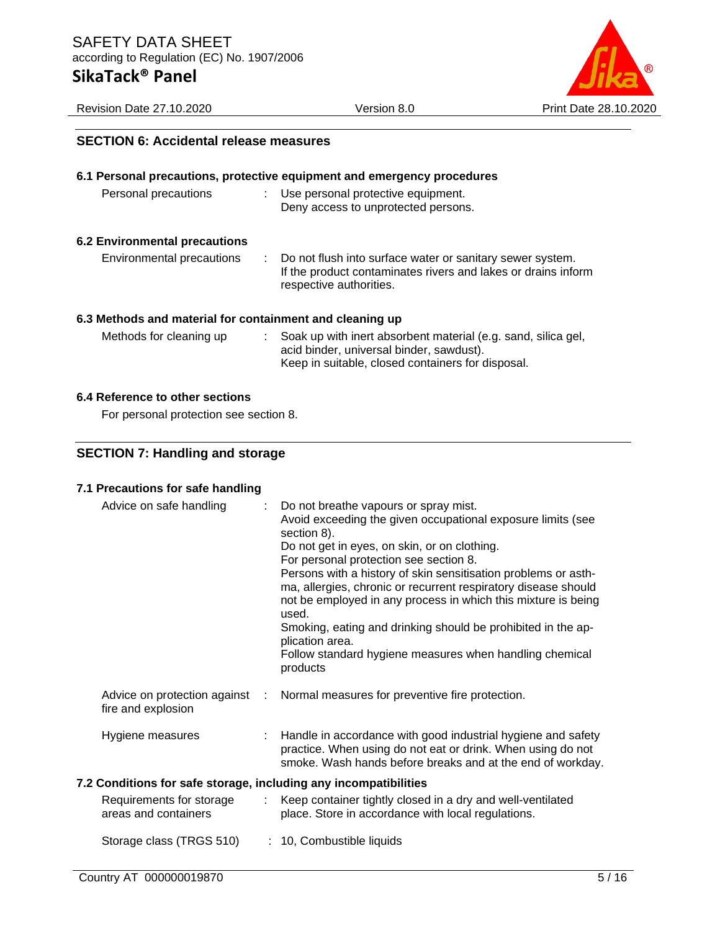

#### **SECTION 6: Accidental release measures**

|                                                          | 6.1 Personal precautions, protective equipment and emergency procedures                                                                                                     |
|----------------------------------------------------------|-----------------------------------------------------------------------------------------------------------------------------------------------------------------------------|
| Personal precautions                                     | : Use personal protective equipment.<br>Deny access to unprotected persons.                                                                                                 |
| <b>6.2 Environmental precautions</b>                     |                                                                                                                                                                             |
| Environmental precautions                                | : Do not flush into surface water or sanitary sewer system.<br>If the product contaminates rivers and lakes or drains inform<br>respective authorities.                     |
| 6.3 Methods and material for containment and cleaning up |                                                                                                                                                                             |
| Methods for cleaning up                                  | $\therefore$ Soak up with inert absorbent material (e.g. sand, silica gel,<br>acid binder, universal binder, sawdust).<br>Keep in suitable, closed containers for disposal. |

#### **6.4 Reference to other sections**

For personal protection see section 8.

### **SECTION 7: Handling and storage**

#### **7.1 Precautions for safe handling**

| Advice on safe handling                                          |               | : Do not breathe vapours or spray mist.<br>Avoid exceeding the given occupational exposure limits (see<br>section 8).<br>Do not get in eyes, on skin, or on clothing.<br>For personal protection see section 8.<br>Persons with a history of skin sensitisation problems or asth-<br>ma, allergies, chronic or recurrent respiratory disease should<br>not be employed in any process in which this mixture is being<br>used.<br>Smoking, eating and drinking should be prohibited in the ap-<br>plication area.<br>Follow standard hygiene measures when handling chemical<br>products |
|------------------------------------------------------------------|---------------|-----------------------------------------------------------------------------------------------------------------------------------------------------------------------------------------------------------------------------------------------------------------------------------------------------------------------------------------------------------------------------------------------------------------------------------------------------------------------------------------------------------------------------------------------------------------------------------------|
| Advice on protection against<br>fire and explosion               | ÷.            | Normal measures for preventive fire protection.                                                                                                                                                                                                                                                                                                                                                                                                                                                                                                                                         |
| Hygiene measures                                                 |               | : Handle in accordance with good industrial hygiene and safety<br>practice. When using do not eat or drink. When using do not<br>smoke. Wash hands before breaks and at the end of workday.                                                                                                                                                                                                                                                                                                                                                                                             |
| 7.2 Conditions for safe storage, including any incompatibilities |               |                                                                                                                                                                                                                                                                                                                                                                                                                                                                                                                                                                                         |
| Requirements for storage<br>areas and containers                 | $\mathcal{L}$ | Keep container tightly closed in a dry and well-ventilated<br>place. Store in accordance with local regulations.                                                                                                                                                                                                                                                                                                                                                                                                                                                                        |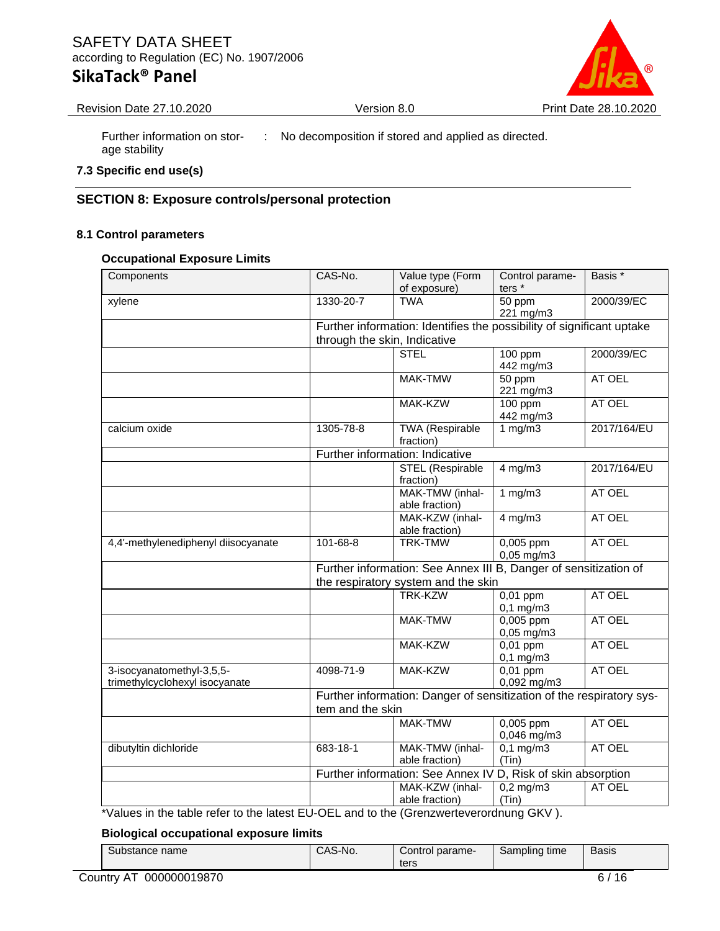

Revision Date 27.10.2020 Version 8.0 Print Date 28.10.2020

Further information on storage stability : No decomposition if stored and applied as directed.

#### **7.3 Specific end use(s)**

#### **SECTION 8: Exposure controls/personal protection**

#### **8.1 Control parameters**

#### **Occupational Exposure Limits**

| Components                          | CAS-No.                      | Value type (Form                                                      | Control parame-              | Basis *     |  |  |  |
|-------------------------------------|------------------------------|-----------------------------------------------------------------------|------------------------------|-------------|--|--|--|
|                                     |                              | of exposure)                                                          | ters*                        |             |  |  |  |
| xylene                              | 1330-20-7                    | <b>TWA</b>                                                            | 50 ppm<br>221 mg/m3          | 2000/39/EC  |  |  |  |
|                                     |                              | Further information: Identifies the possibility of significant uptake |                              |             |  |  |  |
|                                     | through the skin, Indicative |                                                                       |                              |             |  |  |  |
|                                     |                              | <b>STEL</b>                                                           | 100 ppm                      | 2000/39/EC  |  |  |  |
|                                     |                              |                                                                       | 442 mg/m3                    |             |  |  |  |
|                                     |                              | <b>MAK-TMW</b>                                                        | 50 ppm<br>221 mg/m3          | AT OEL      |  |  |  |
|                                     |                              | MAK-KZW                                                               | $100$ ppm<br>442 mg/m3       | AT OEL      |  |  |  |
| calcium oxide                       | 1305-78-8                    | TWA (Respirable<br>fraction)                                          | 1 $mg/m3$                    | 2017/164/EU |  |  |  |
|                                     |                              | Further information: Indicative                                       |                              |             |  |  |  |
|                                     |                              | <b>STEL (Respirable</b>                                               | $4$ mg/m $3$                 | 2017/164/EU |  |  |  |
|                                     |                              | fraction)                                                             |                              |             |  |  |  |
|                                     |                              | MAK-TMW (inhal-                                                       | 1 mg/m3                      | AT OEL      |  |  |  |
|                                     |                              | able fraction)                                                        |                              |             |  |  |  |
|                                     |                              | MAK-KZW (inhal-<br>able fraction)                                     | $4$ mg/m $3$                 | AT OEL      |  |  |  |
| 4,4'-methylenediphenyl diisocyanate | 101-68-8                     | <b>TRK-TMW</b>                                                        | 0,005 ppm<br>$0,05$ mg/m $3$ | AT OEL      |  |  |  |
|                                     |                              | Further information: See Annex III B, Danger of sensitization of      |                              |             |  |  |  |
|                                     |                              | the respiratory system and the skin                                   |                              |             |  |  |  |
|                                     |                              | <b>TRK-KZW</b>                                                        | 0,01 ppm                     | AT OEL      |  |  |  |
|                                     |                              |                                                                       | $0,1$ mg/m $3$               |             |  |  |  |
|                                     |                              | <b>MAK-TMW</b>                                                        | 0,005 ppm                    | AT OEL      |  |  |  |
|                                     |                              |                                                                       | 0,05 mg/m3                   |             |  |  |  |
|                                     |                              | MAK-KZW                                                               | $0,01$ ppm                   | AT OEL      |  |  |  |
|                                     |                              |                                                                       | $0,1$ mg/m $3$               |             |  |  |  |
| 3-isocyanatomethyl-3,5,5-           | 4098-71-9                    | MAK-KZW                                                               | $0,01$ ppm                   | AT OEL      |  |  |  |
| trimethylcyclohexyl isocyanate      |                              |                                                                       | 0,092 mg/m3                  |             |  |  |  |
|                                     |                              | Further information: Danger of sensitization of the respiratory sys-  |                              |             |  |  |  |
|                                     | tem and the skin             |                                                                       |                              |             |  |  |  |
|                                     |                              | MAK-TMW                                                               | $0,005$ ppm<br>0,046 mg/m3   | AT OEL      |  |  |  |
| dibutyltin dichloride               | 683-18-1                     | MAK-TMW (inhal-<br>able fraction)                                     | $0,1$ mg/m3<br>(Tin)         | AT OEL      |  |  |  |
|                                     |                              | Further information: See Annex IV D, Risk of skin absorption          |                              |             |  |  |  |
|                                     |                              | MAK-KZW (inhal-<br>able fraction)                                     | $0,2$ mg/m3<br>(Tin)         | AT OEL      |  |  |  |

\*Values in the table refer to the latest EU-OEL and to the (Grenzwerteverordnung GKV ).

#### **Biological occupational exposure limits**

| Substance name | <sup>1</sup> S-No.<br>.<br>UAJ. | Control parame- | $\cdots$<br>Sampling<br>time | Basis |
|----------------|---------------------------------|-----------------|------------------------------|-------|
|                |                                 | ters            |                              |       |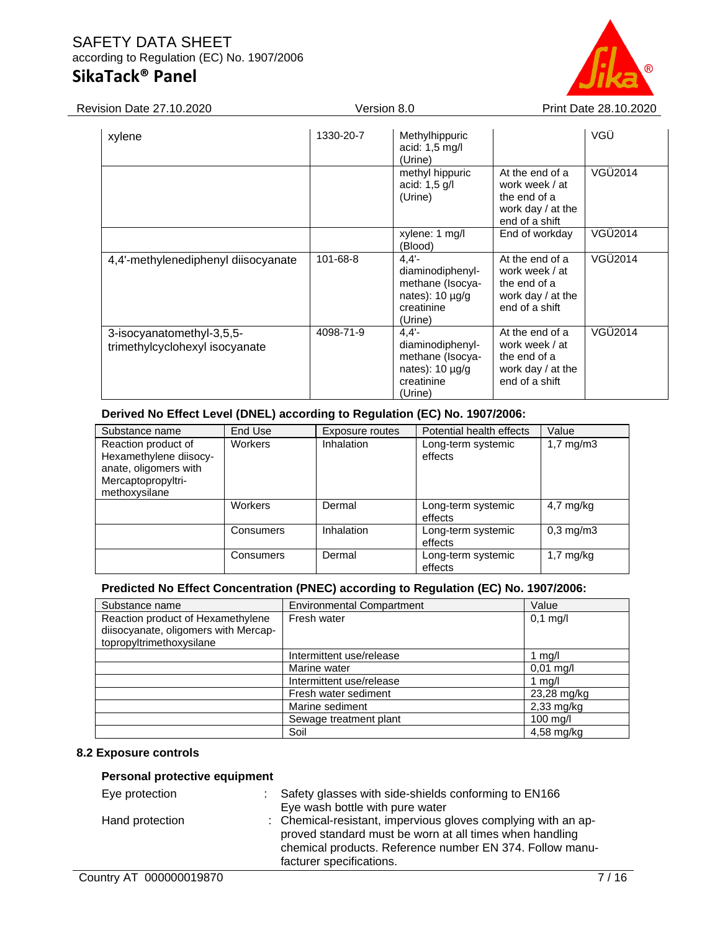

| <b>Revision Date 27.10.2020</b>                             |           | Version 8.0                                                                                       | Print Date 28.10.2020                                                                      |         |
|-------------------------------------------------------------|-----------|---------------------------------------------------------------------------------------------------|--------------------------------------------------------------------------------------------|---------|
| xylene                                                      | 1330-20-7 | Methylhippuric<br>acid: $1,5$ mg/l<br>(Urine)                                                     |                                                                                            | VGÜ     |
|                                                             |           | methyl hippuric<br>acid: $1,5$ g/l<br>(Urine)                                                     | At the end of a<br>work week / at<br>the end of a<br>work day / at the<br>end of a shift   | VGÜ2014 |
|                                                             |           | xylene: 1 mg/l<br>(Blood)                                                                         | End of workday                                                                             | VGÜ2014 |
| 4,4'-methylenediphenyl diisocyanate                         | 101-68-8  | $4,4'$ -<br>diaminodiphenyl-<br>methane (Isocya-<br>nates): $10 \mu g/g$<br>creatinine<br>(Urine) | At the end of a<br>work week / at<br>the end of a<br>work day / at the<br>end of a shift   | VGÜ2014 |
| 3-isocyanatomethyl-3,5,5-<br>trimethylcyclohexyl isocyanate | 4098-71-9 | $4.4' -$<br>diaminodiphenyl-<br>methane (Isocya-<br>nates): $10 \mu g/g$<br>creatinine<br>(Urine) | At the end of a<br>work week / at<br>the end of a<br>work day $/$ at the<br>end of a shift | VGÜ2014 |

#### **Derived No Effect Level (DNEL) according to Regulation (EC) No. 1907/2006:**

| Substance name                                                                                                | End Use        | Exposure routes | Potential health effects      | Value                |
|---------------------------------------------------------------------------------------------------------------|----------------|-----------------|-------------------------------|----------------------|
| Reaction product of<br>Hexamethylene diisocy-<br>anate, oligomers with<br>Mercaptopropyltri-<br>methoxysilane | <b>Workers</b> | Inhalation      | Long-term systemic<br>effects | $1,7 \text{ mg/m}$ 3 |
|                                                                                                               | Workers        | Dermal          | Long-term systemic<br>effects | $4,7$ mg/kg          |
|                                                                                                               | Consumers      | Inhalation      | Long-term systemic<br>effects | $0.3 \text{ mg/m}$   |
|                                                                                                               | Consumers      | Dermal          | Long-term systemic<br>effects | $1,7 \text{ mg/kg}$  |

#### **Predicted No Effect Concentration (PNEC) according to Regulation (EC) No. 1907/2006:**

| Substance name                                                   | <b>Environmental Compartment</b> | Value        |
|------------------------------------------------------------------|----------------------------------|--------------|
| Reaction product of Hexamethylene                                | Fresh water                      | $0,1$ mg/l   |
| diisocyanate, oligomers with Mercap-<br>topropyltrimethoxysilane |                                  |              |
|                                                                  | Intermittent use/release         | 1 $mg/l$     |
|                                                                  | Marine water                     | $0.01$ mg/l  |
|                                                                  | Intermittent use/release         | 1 mg/l       |
|                                                                  | Fresh water sediment             | 23,28 mg/kg  |
|                                                                  | Marine sediment                  | $2,33$ mg/kg |
|                                                                  | Sewage treatment plant           | $100$ mg/l   |
|                                                                  | Soil                             | 4,58 mg/kg   |

#### **8.2 Exposure controls**

#### **Personal protective equipment**

| Eye protection  | : Safety glasses with side-shields conforming to EN166<br>Eye wash bottle with pure water                                                                                                                        |
|-----------------|------------------------------------------------------------------------------------------------------------------------------------------------------------------------------------------------------------------|
| Hand protection | : Chemical-resistant, impervious gloves complying with an ap-<br>proved standard must be worn at all times when handling<br>chemical products. Reference number EN 374. Follow manu-<br>facturer specifications. |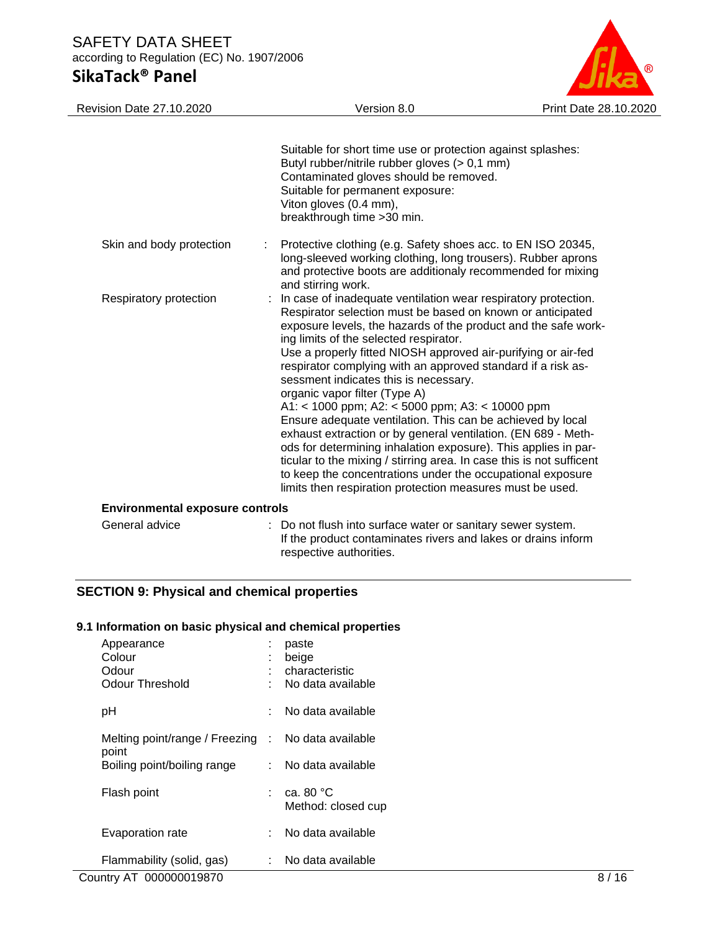

| <b>Revision Date 27.10.2020</b>        | Version 8.0                                                                                                                                                                                                                                                                                                                                                                                                                                                                                                                                                                                                                                                                                                                                                                                                                                                                                                | Print Date 28.10.2020 |
|----------------------------------------|------------------------------------------------------------------------------------------------------------------------------------------------------------------------------------------------------------------------------------------------------------------------------------------------------------------------------------------------------------------------------------------------------------------------------------------------------------------------------------------------------------------------------------------------------------------------------------------------------------------------------------------------------------------------------------------------------------------------------------------------------------------------------------------------------------------------------------------------------------------------------------------------------------|-----------------------|
|                                        | Suitable for short time use or protection against splashes:<br>Butyl rubber/nitrile rubber gloves (> 0,1 mm)<br>Contaminated gloves should be removed.<br>Suitable for permanent exposure:<br>Viton gloves (0.4 mm),<br>breakthrough time > 30 min.                                                                                                                                                                                                                                                                                                                                                                                                                                                                                                                                                                                                                                                        |                       |
| Skin and body protection               | Protective clothing (e.g. Safety shoes acc. to EN ISO 20345,<br>long-sleeved working clothing, long trousers). Rubber aprons<br>and protective boots are additionaly recommended for mixing<br>and stirring work.                                                                                                                                                                                                                                                                                                                                                                                                                                                                                                                                                                                                                                                                                          |                       |
| Respiratory protection                 | In case of inadequate ventilation wear respiratory protection.<br>Respirator selection must be based on known or anticipated<br>exposure levels, the hazards of the product and the safe work-<br>ing limits of the selected respirator.<br>Use a properly fitted NIOSH approved air-purifying or air-fed<br>respirator complying with an approved standard if a risk as-<br>sessment indicates this is necessary.<br>organic vapor filter (Type A)<br>A1: < 1000 ppm; A2: < 5000 ppm; A3: < 10000 ppm<br>Ensure adequate ventilation. This can be achieved by local<br>exhaust extraction or by general ventilation. (EN 689 - Meth-<br>ods for determining inhalation exposure). This applies in par-<br>ticular to the mixing / stirring area. In case this is not sufficent<br>to keep the concentrations under the occupational exposure<br>limits then respiration protection measures must be used. |                       |
| <b>Environmental exposure controls</b> |                                                                                                                                                                                                                                                                                                                                                                                                                                                                                                                                                                                                                                                                                                                                                                                                                                                                                                            |                       |
| General advice                         | : Do not flush into surface water or sanitary sewer system.<br>If the product contaminates rivers and lakes or drains inform                                                                                                                                                                                                                                                                                                                                                                                                                                                                                                                                                                                                                                                                                                                                                                               |                       |

respective authorities.

### **SECTION 9: Physical and chemical properties**

#### **9.1 Information on basic physical and chemical properties**

| Appearance<br>Colour<br>Odour<br>Odour Threshold   | ÷<br>t | paste<br>beige<br>characteristic<br>No data available |
|----------------------------------------------------|--------|-------------------------------------------------------|
| рH                                                 | t.     | No data available                                     |
| Melting point/range / Freezing : No data available |        |                                                       |
| point<br>Boiling point/boiling range               | t.     | No data available                                     |
| Flash point                                        |        | ca. 80 $^{\circ}$ C<br>Method: closed cup             |
| Evaporation rate                                   | t.     | No data available                                     |
| Flammability (solid, gas)                          | t in   | No data available                                     |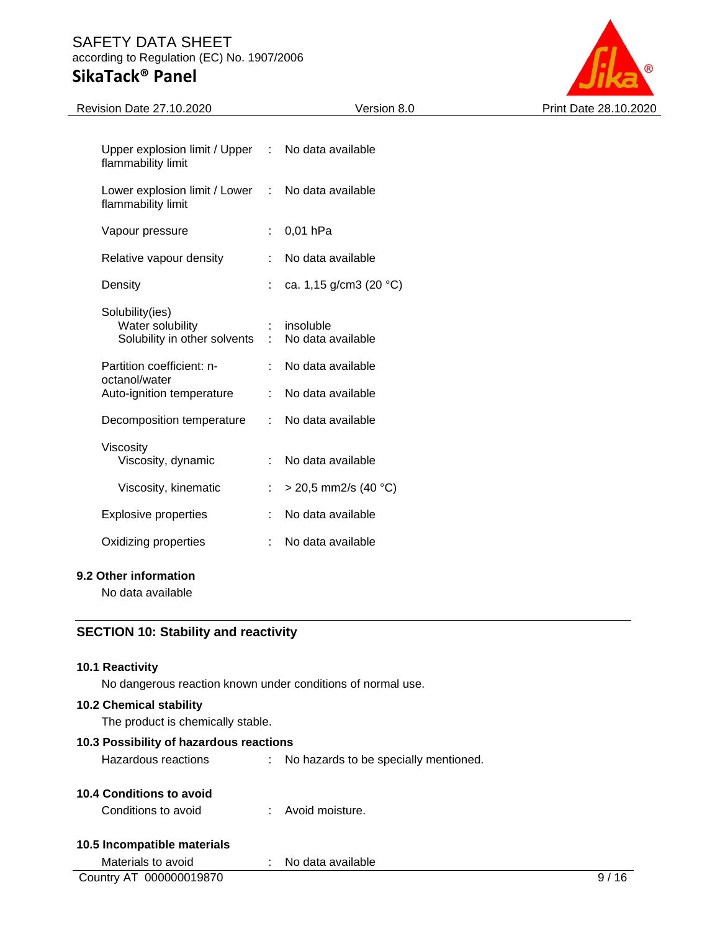

| Revision Date 27.10.2020                            |               | Version 8.0            | Print Date 28.10.2020 |
|-----------------------------------------------------|---------------|------------------------|-----------------------|
|                                                     |               |                        |                       |
| Upper explosion limit / Upper<br>flammability limit | $\sim 100$    | No data available      |                       |
| Lower explosion limit / Lower<br>flammability limit | $\mathcal{L}$ | No data available      |                       |
| Vapour pressure                                     | ÷.            | $0,01$ hPa             |                       |
| Relative vapour density                             |               | No data available      |                       |
| Density                                             | ÷.            | ca. 1,15 g/cm3 (20 °C) |                       |
| Solubility(ies)                                     |               |                        |                       |
| Water solubility                                    |               | insoluble              |                       |
| Solubility in other solvents :                      |               | No data available      |                       |
| Partition coefficient: n-<br>octanol/water          |               | No data available      |                       |
| Auto-ignition temperature                           | ÷             | No data available      |                       |
| Decomposition temperature                           | ÷             | No data available      |                       |
| Viscosity                                           |               |                        |                       |
| Viscosity, dynamic                                  |               | No data available      |                       |
| Viscosity, kinematic                                | ÷             | $>$ 20,5 mm2/s (40 °C) |                       |
| <b>Explosive properties</b>                         |               | No data available      |                       |
| Oxidizing properties                                | ÷             | No data available      |                       |
| 9.2 Other information                               |               |                        |                       |

No data available

#### **SECTION 10: Stability and reactivity**

#### **10.1 Reactivity**

No dangerous reaction known under conditions of normal use.

#### **10.2 Chemical stability**

The product is chemically stable.

#### **10.3 Possibility of hazardous reactions**

Hazardous reactions : No hazards to be specially mentioned.

#### **10.4 Conditions to avoid**

Conditions to avoid : Avoid moisture.

#### **10.5 Incompatible materials**

| Materials to avoid      | No data available |  |
|-------------------------|-------------------|--|
| Country AT 000000019870 |                   |  |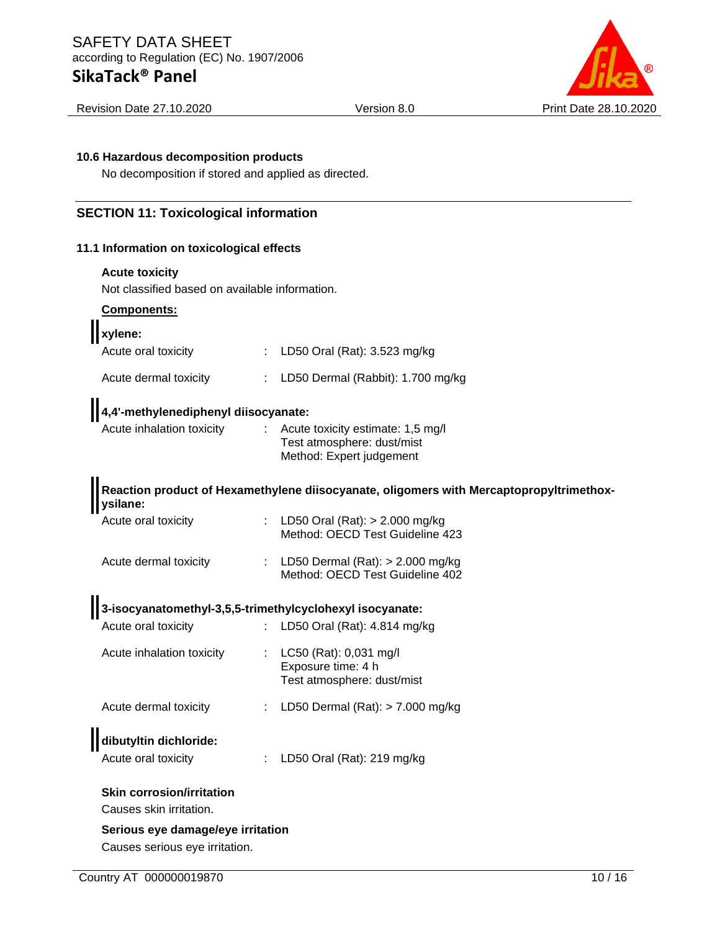

Revision Date 27.10.2020 Version 8.0 Print Date 28.10.2020

#### **10.6 Hazardous decomposition products**

No decomposition if stored and applied as directed.

#### **SECTION 11: Toxicological information**

#### **11.1 Information on toxicological effects**

#### **Acute toxicity**

Not classified based on available information.

# **Components:**

| <b>I</b> xylene:                                            |                       |                                                                                             |
|-------------------------------------------------------------|-----------------------|---------------------------------------------------------------------------------------------|
| Acute oral toxicity                                         |                       | : LD50 Oral (Rat): 3.523 mg/kg                                                              |
| Acute dermal toxicity                                       |                       | : LD50 Dermal (Rabbit): $1.700$ mg/kg                                                       |
| 4,4'-methylenediphenyl diisocyanate:                        |                       |                                                                                             |
| Acute inhalation toxicity                                   | $\mathbb{Z}^{\times}$ | Acute toxicity estimate: 1,5 mg/l<br>Test atmosphere: dust/mist<br>Method: Expert judgement |
| ysilane:                                                    |                       | Reaction product of Hexamethylene diisocyanate, oligomers with Mercaptopropyltrimethox-     |
| Acute oral toxicity                                         |                       | : LD50 Oral (Rat): > 2.000 mg/kg<br>Method: OECD Test Guideline 423                         |
| Acute dermal toxicity                                       |                       | : LD50 Dermal $(Rat):$ > 2.000 mg/kg<br>Method: OECD Test Guideline 402                     |
| 3-isocyanatomethyl-3,5,5-trimethylcyclohexyl isocyanate:    |                       |                                                                                             |
| Acute oral toxicity                                         |                       | : LD50 Oral (Rat): 4.814 mg/kg                                                              |
| Acute inhalation toxicity                                   |                       | : $LC50$ (Rat): 0,031 mg/l<br>Exposure time: 4 h<br>Test atmosphere: dust/mist              |
| Acute dermal toxicity                                       |                       | : LD50 Dermal $(Rat):$ > 7.000 mg/kg                                                        |
| dibutyltin dichloride:                                      |                       |                                                                                             |
| Acute oral toxicity                                         |                       | : LD50 Oral (Rat): 219 mg/kg                                                                |
| <b>Skin corrosion/irritation</b><br>Causes skin irritation. |                       |                                                                                             |
| Serious eye damage/eye irritation                           |                       |                                                                                             |

Causes serious eye irritation.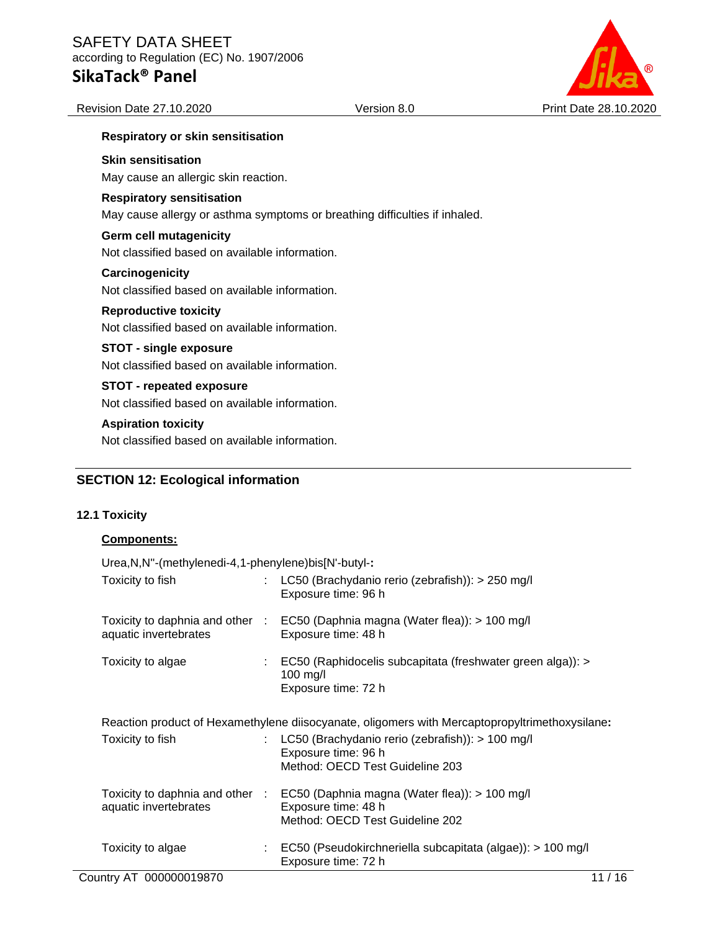

#### **Respiratory or skin sensitisation**

#### **Skin sensitisation**

May cause an allergic skin reaction.

#### **Respiratory sensitisation**

May cause allergy or asthma symptoms or breathing difficulties if inhaled.

#### **Germ cell mutagenicity**

Not classified based on available information.

#### **Carcinogenicity**

Not classified based on available information.

#### **Reproductive toxicity**

Not classified based on available information.

#### **STOT - single exposure**

Not classified based on available information.

## **STOT - repeated exposure**

Not classified based on available information.

#### **Aspiration toxicity**

Not classified based on available information.

#### **SECTION 12: Ecological information**

#### **12.1 Toxicity**

#### **Components:**

Urea,N,N''-(methylenedi-4,1-phenylene)bis[N'-butyl-**:**

| Toxicity to fish                                                                               |  | LC50 (Brachydanio rerio (zebrafish)): > 250 mg/l<br>Exposure time: 96 h                                                                 |  |
|------------------------------------------------------------------------------------------------|--|-----------------------------------------------------------------------------------------------------------------------------------------|--|
| Toxicity to daphnia and other :<br>aquatic invertebrates                                       |  | EC50 (Daphnia magna (Water flea)): > 100 mg/l<br>Exposure time: 48 h                                                                    |  |
| Toxicity to algae                                                                              |  | : EC50 (Raphidocelis subcapitata (freshwater green alga)): ><br>100 mg/l<br>Exposure time: 72 h                                         |  |
| Reaction product of Hexamethylene diisocyanate, oligomers with Mercaptopropyltrimethoxysilane: |  |                                                                                                                                         |  |
| Toxicity to fish                                                                               |  | LC50 (Brachydanio rerio (zebrafish)): > 100 mg/l<br>Exposure time: 96 h<br>Method: OECD Test Guideline 203                              |  |
| aquatic invertebrates                                                                          |  | Toxicity to daphnia and other : EC50 (Daphnia magna (Water flea)): > 100 mg/l<br>Exposure time: 48 h<br>Method: OECD Test Guideline 202 |  |
| Toxicity to algae                                                                              |  | EC50 (Pseudokirchneriella subcapitata (algae)): > 100 mg/l<br>Exposure time: 72 h                                                       |  |
| Country AT 000000019870                                                                        |  | 11/16                                                                                                                                   |  |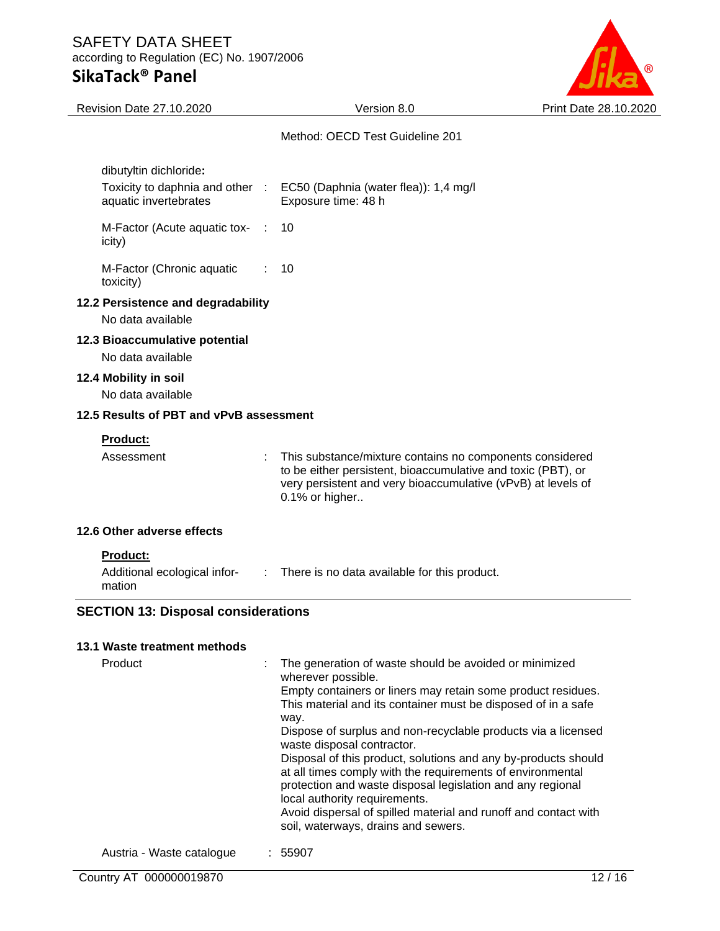

| <b>Revision Date 27.10.2020</b>                          | Version 8.0                                                                                                                                                                                                                                                                                                                                                                                                                                                                                                                                         | Print Date 28.10.2020 |
|----------------------------------------------------------|-----------------------------------------------------------------------------------------------------------------------------------------------------------------------------------------------------------------------------------------------------------------------------------------------------------------------------------------------------------------------------------------------------------------------------------------------------------------------------------------------------------------------------------------------------|-----------------------|
|                                                          | Method: OECD Test Guideline 201                                                                                                                                                                                                                                                                                                                                                                                                                                                                                                                     |                       |
| dibutyltin dichloride:                                   |                                                                                                                                                                                                                                                                                                                                                                                                                                                                                                                                                     |                       |
| Toxicity to daphnia and other :<br>aquatic invertebrates | EC50 (Daphnia (water flea)): 1,4 mg/l<br>Exposure time: 48 h                                                                                                                                                                                                                                                                                                                                                                                                                                                                                        |                       |
| M-Factor (Acute aquatic tox-<br>icity)                   | 10                                                                                                                                                                                                                                                                                                                                                                                                                                                                                                                                                  |                       |
| M-Factor (Chronic aquatic<br>toxicity)                   | 10                                                                                                                                                                                                                                                                                                                                                                                                                                                                                                                                                  |                       |
| 12.2 Persistence and degradability<br>No data available  |                                                                                                                                                                                                                                                                                                                                                                                                                                                                                                                                                     |                       |
| 12.3 Bioaccumulative potential<br>No data available      |                                                                                                                                                                                                                                                                                                                                                                                                                                                                                                                                                     |                       |
| 12.4 Mobility in soil<br>No data available               |                                                                                                                                                                                                                                                                                                                                                                                                                                                                                                                                                     |                       |
| 12.5 Results of PBT and vPvB assessment                  |                                                                                                                                                                                                                                                                                                                                                                                                                                                                                                                                                     |                       |
| Product:                                                 |                                                                                                                                                                                                                                                                                                                                                                                                                                                                                                                                                     |                       |
| Assessment                                               | This substance/mixture contains no components considered<br>to be either persistent, bioaccumulative and toxic (PBT), or<br>very persistent and very bioaccumulative (vPvB) at levels of<br>0.1% or higher                                                                                                                                                                                                                                                                                                                                          |                       |
| 12.6 Other adverse effects                               |                                                                                                                                                                                                                                                                                                                                                                                                                                                                                                                                                     |                       |
| Product:                                                 |                                                                                                                                                                                                                                                                                                                                                                                                                                                                                                                                                     |                       |
| Additional ecological infor-<br>mation                   | : There is no data available for this product.                                                                                                                                                                                                                                                                                                                                                                                                                                                                                                      |                       |
| <b>SECTION 13: Disposal considerations</b>               |                                                                                                                                                                                                                                                                                                                                                                                                                                                                                                                                                     |                       |
| 13.1 Waste treatment methods                             |                                                                                                                                                                                                                                                                                                                                                                                                                                                                                                                                                     |                       |
| Product<br>÷                                             | The generation of waste should be avoided or minimized<br>wherever possible.<br>Empty containers or liners may retain some product residues.<br>This material and its container must be disposed of in a safe<br>way.<br>Dispose of surplus and non-recyclable products via a licensed<br>waste disposal contractor.<br>Disposal of this product, solutions and any by-products should<br>at all times comply with the requirements of environmental<br>protection and waste disposal legislation and any regional<br>local authority requirements. |                       |
|                                                          | Avoid disparatel of spilled material and rupoff and contact with                                                                                                                                                                                                                                                                                                                                                                                                                                                                                    |                       |

Avoid dispersal of spilled material and runoff and contact with soil, waterways, drains and sewers.

Austria - Waste catalogue : 55907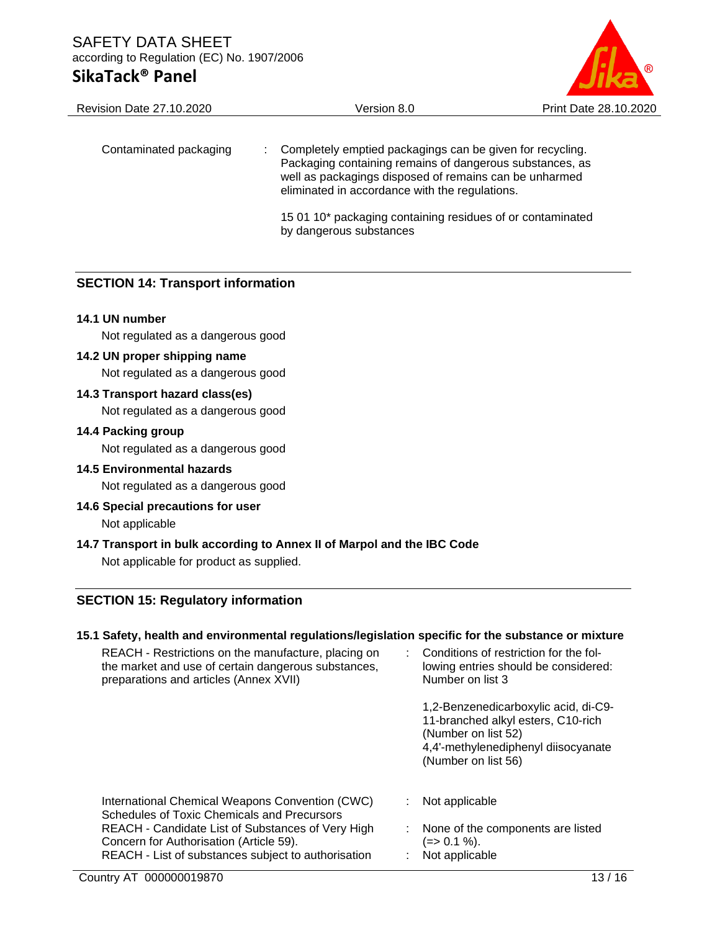

| <b>Revision Date 27.10.2020</b> | Version 8.0                                                                                                                                                                                                                       | Print Date 28.10.2020 |
|---------------------------------|-----------------------------------------------------------------------------------------------------------------------------------------------------------------------------------------------------------------------------------|-----------------------|
| Contaminated packaging          | Completely emptied packagings can be given for recycling.<br>Packaging containing remains of dangerous substances, as<br>well as packagings disposed of remains can be unharmed<br>eliminated in accordance with the regulations. |                       |
|                                 | 15 01 10* packaging containing residues of or contaminated<br>by dangerous substances                                                                                                                                             |                       |

#### **SECTION 14: Transport information**

#### **14.1 UN number**

Not regulated as a dangerous good

#### **14.2 UN proper shipping name**

Not regulated as a dangerous good

#### **14.3 Transport hazard class(es)**

Not regulated as a dangerous good

#### **14.4 Packing group**

Not regulated as a dangerous good

### **14.5 Environmental hazards**

Not regulated as a dangerous good

## **14.6 Special precautions for user**

Not applicable

#### **14.7 Transport in bulk according to Annex II of Marpol and the IBC Code** Not applicable for product as supplied.

# **SECTION 15: Regulatory information**

#### **15.1 Safety, health and environmental regulations/legislation specific for the substance or mixture**

| REACH - Restrictions on the manufacture, placing on<br>the market and use of certain dangerous substances,<br>preparations and articles (Annex XVII)                                                                                                  | Conditions of restriction for the fol-<br>lowing entries should be considered:<br>Number on list 3                                                              |
|-------------------------------------------------------------------------------------------------------------------------------------------------------------------------------------------------------------------------------------------------------|-----------------------------------------------------------------------------------------------------------------------------------------------------------------|
|                                                                                                                                                                                                                                                       | 1,2-Benzenedicarboxylic acid, di-C9-<br>11-branched alkyl esters, C10-rich<br>(Number on list 52)<br>4,4'-methylenediphenyl diisocyanate<br>(Number on list 56) |
| International Chemical Weapons Convention (CWC)<br>Schedules of Toxic Chemicals and Precursors<br>REACH - Candidate List of Substances of Very High<br>Concern for Authorisation (Article 59).<br>REACH - List of substances subject to authorisation | Not applicable<br>None of the components are listed<br>$(=>0.1\%).$<br>Not applicable                                                                           |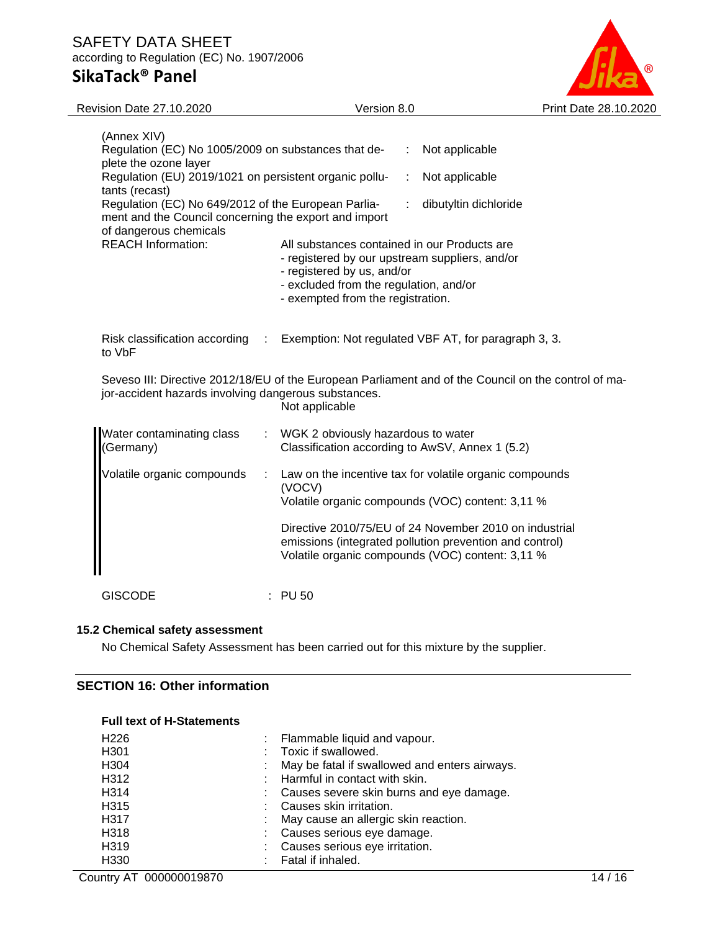

| <b>Revision Date 27.10.2020</b>                                                                                                                              | Version 8.0                                                                                                                                                                                                 |                       | Print Date 28.10.2020 |
|--------------------------------------------------------------------------------------------------------------------------------------------------------------|-------------------------------------------------------------------------------------------------------------------------------------------------------------------------------------------------------------|-----------------------|-----------------------|
| (Annex XIV)<br>Regulation (EC) No 1005/2009 on substances that de-                                                                                           |                                                                                                                                                                                                             | Not applicable        |                       |
| plete the ozone layer<br>Regulation (EU) 2019/1021 on persistent organic pollu-<br>tants (recast)                                                            |                                                                                                                                                                                                             | Not applicable        |                       |
| Regulation (EC) No 649/2012 of the European Parlia-<br>ment and the Council concerning the export and import<br>of dangerous chemicals                       |                                                                                                                                                                                                             | dibutyltin dichloride |                       |
| <b>REACH Information:</b>                                                                                                                                    | All substances contained in our Products are<br>- registered by our upstream suppliers, and/or<br>- registered by us, and/or<br>- excluded from the regulation, and/or<br>- exempted from the registration. |                       |                       |
| Risk classification according<br>to VbF                                                                                                                      | Exemption: Not regulated VBF AT, for paragraph 3, 3.<br>$\mathcal{L}_{\mathrm{max}}$                                                                                                                        |                       |                       |
| Seveso III: Directive 2012/18/EU of the European Parliament and of the Council on the control of ma-<br>jor-accident hazards involving dangerous substances. | Not applicable                                                                                                                                                                                              |                       |                       |
| Water contaminating class<br>Germany)                                                                                                                        | WGK 2 obviously hazardous to water<br>Classification according to AwSV, Annex 1 (5.2)                                                                                                                       |                       |                       |
| Volatile organic compounds                                                                                                                                   | ÷<br>Law on the incentive tax for volatile organic compounds<br>(VOCV)<br>Volatile organic compounds (VOC) content: 3,11 %                                                                                  |                       |                       |
|                                                                                                                                                              | Directive 2010/75/EU of 24 November 2010 on industrial<br>emissions (integrated pollution prevention and control)<br>Volatile organic compounds (VOC) content: 3,11 %                                       |                       |                       |
| <b>GISCODE</b>                                                                                                                                               | <b>PU 50</b>                                                                                                                                                                                                |                       |                       |

#### **15.2 Chemical safety assessment**

No Chemical Safety Assessment has been carried out for this mixture by the supplier.

#### **SECTION 16: Other information**

| H <sub>226</sub>  | Flammable liquid and vapour.<br>t.            |
|-------------------|-----------------------------------------------|
| H <sub>301</sub>  | Toxic if swallowed.                           |
| H <sub>304</sub>  | May be fatal if swallowed and enters airways. |
| H312              | Harmful in contact with skin.                 |
| H <sub>3</sub> 14 | : Causes severe skin burns and eye damage.    |
| H <sub>3</sub> 15 | : Causes skin irritation.                     |
| H317              | May cause an allergic skin reaction.          |
| H318              | : Causes serious eye damage.                  |
| H <sub>3</sub> 19 | Causes serious eye irritation.                |
| H <sub>330</sub>  | Fatal if inhaled.<br>÷.                       |
|                   |                                               |

## **Full text of H-Statements**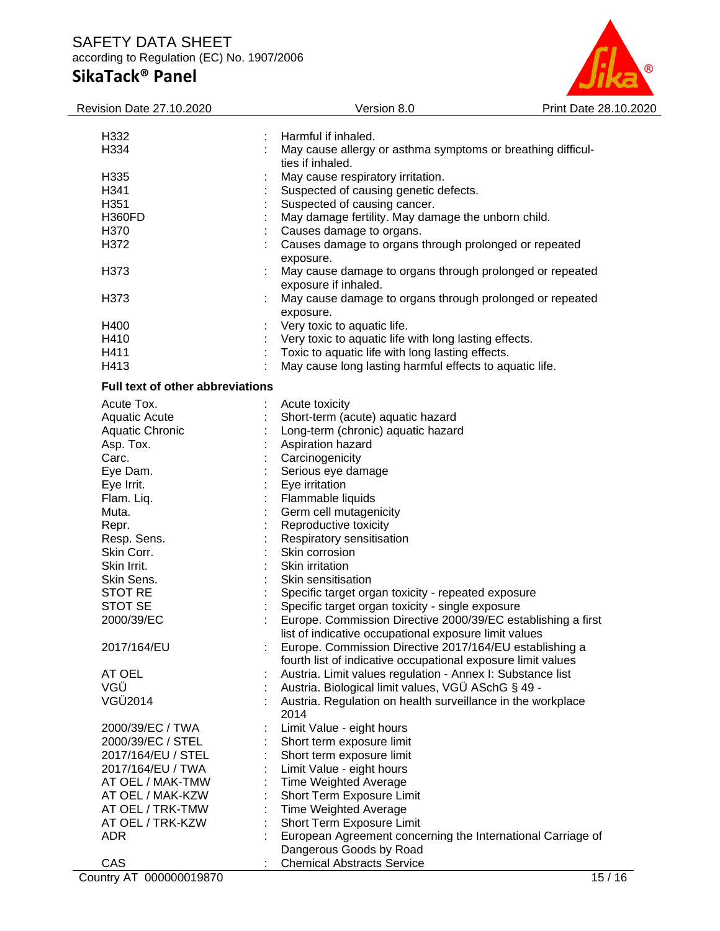# $^{\circ}$

| Revision Date 27.10.2020         | Version 8.0                                                                      | Print Date 28.10.2020 |
|----------------------------------|----------------------------------------------------------------------------------|-----------------------|
|                                  |                                                                                  |                       |
| H332                             | Harmful if inhaled.                                                              |                       |
| H334                             | May cause allergy or asthma symptoms or breathing difficul-<br>ties if inhaled.  |                       |
| H335                             | May cause respiratory irritation.                                                |                       |
| H341                             | Suspected of causing genetic defects.                                            |                       |
| H351                             | Suspected of causing cancer.                                                     |                       |
| <b>H360FD</b>                    | May damage fertility. May damage the unborn child.                               |                       |
| H370                             | Causes damage to organs.                                                         |                       |
| H372                             | Causes damage to organs through prolonged or repeated                            |                       |
|                                  | exposure.                                                                        |                       |
| H373                             | May cause damage to organs through prolonged or repeated<br>exposure if inhaled. |                       |
| H373                             | May cause damage to organs through prolonged or repeated                         |                       |
|                                  | exposure.                                                                        |                       |
| H400                             |                                                                                  |                       |
| H410                             | Very toxic to aquatic life.                                                      |                       |
|                                  | Very toxic to aquatic life with long lasting effects.                            |                       |
| H411                             | Toxic to aquatic life with long lasting effects.                                 |                       |
| H413                             | May cause long lasting harmful effects to aquatic life.                          |                       |
| Full text of other abbreviations |                                                                                  |                       |
| Acute Tox.                       | Acute toxicity                                                                   |                       |
| Aquatic Acute                    | Short-term (acute) aquatic hazard                                                |                       |
| Aquatic Chronic                  | Long-term (chronic) aquatic hazard                                               |                       |
| Asp. Tox.                        | Aspiration hazard                                                                |                       |
| Carc.                            | Carcinogenicity                                                                  |                       |
| Eye Dam.                         | Serious eye damage                                                               |                       |
| Eye Irrit.                       | Eye irritation                                                                   |                       |
| Flam. Liq.                       | Flammable liquids                                                                |                       |
| Muta.                            | Germ cell mutagenicity                                                           |                       |
| Repr.                            | Reproductive toxicity                                                            |                       |
| Resp. Sens.                      | Respiratory sensitisation                                                        |                       |
| Skin Corr.                       | Skin corrosion                                                                   |                       |
| Skin Irrit.                      | Skin irritation                                                                  |                       |
| Skin Sens.                       | Skin sensitisation                                                               |                       |
| <b>STOT RE</b>                   | Specific target organ toxicity - repeated exposure                               |                       |
| STOT SE                          | Specific target organ toxicity - single exposure                                 |                       |
|                                  |                                                                                  |                       |
| 2000/39/EC                       | Europe. Commission Directive 2000/39/EC establishing a first                     |                       |
|                                  | list of indicative occupational exposure limit values                            |                       |
| 2017/164/EU                      | Europe. Commission Directive 2017/164/EU establishing a                          |                       |
|                                  | fourth list of indicative occupational exposure limit values                     |                       |
| AT OEL                           | Austria. Limit values regulation - Annex I: Substance list                       |                       |
| VGÜ                              | Austria. Biological limit values, VGÜ ASchG § 49 -                               |                       |
| VGÜ2014                          | Austria. Regulation on health surveillance in the workplace<br>2014              |                       |
| 2000/39/EC / TWA                 | Limit Value - eight hours                                                        |                       |
| 2000/39/EC / STEL                | Short term exposure limit                                                        |                       |
| 2017/164/EU / STEL               | Short term exposure limit                                                        |                       |
| 2017/164/EU / TWA                | Limit Value - eight hours                                                        |                       |
| AT OEL / MAK-TMW                 | <b>Time Weighted Average</b>                                                     |                       |
| AT OEL / MAK-KZW                 | Short Term Exposure Limit                                                        |                       |
| AT OEL / TRK-TMW                 | <b>Time Weighted Average</b>                                                     |                       |
| AT OEL / TRK-KZW                 | Short Term Exposure Limit                                                        |                       |
| <b>ADR</b>                       | European Agreement concerning the International Carriage of                      |                       |
|                                  | Dangerous Goods by Road                                                          |                       |
| CAS                              | <b>Chemical Abstracts Service</b>                                                |                       |